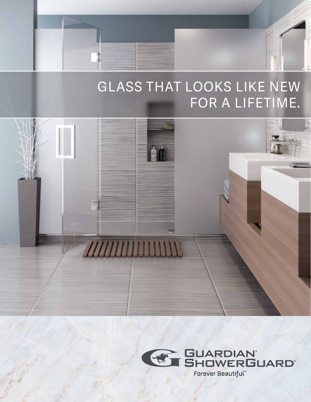# GLASS THAT LOOKS LIKE NEW FOR A LIFETIME.



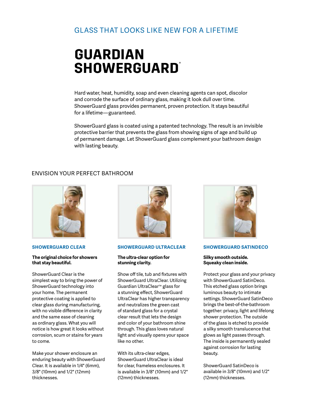### Glass that looks like new for a lifetime

# **GUARDIAN**  SHOWERGUARD®

Hard water, heat, humidity, soap and even cleaning agents can spot, discolor and corrode the surface of ordinary glass, making it look dull over time. ShowerGuard glass provides permanent, proven protection. It stays beautiful for a lifetime—guaranteed.

ShowerGuard glass is coated using a patented technology. The result is an invisible protective barrier that prevents the glass from showing signs of age and build up of permanent damage. Let ShowerGuard glass complement your bathroom design with lasting beauty.

### ENVISION YOUR PERFECT BATHROOM



#### **SHOWERGUARD CLEAR**

#### **The original choice for showers that stay beautiful.**

ShowerGuard Clear is the simplest way to bring the power of ShowerGuard technology into your home. The permanent protective coating is applied to clear glass during manufacturing, with no visible difference in clarity and the same ease of cleaning as ordinary glass. What you will notice is how great it looks without corrosion, scum or stains for years to come.

Make your shower enclosure an enduring beauty with ShowerGuard Clear. It is available in 1/4" (6mm), 3/8" (10mm) and 1/2" (12mm) thicknesses.



#### **SHOWERGUARD ULTRACLEAR**

#### **The ultra-clear option for stunning clarity.**

Show off tile, tub and fixtures with ShowerGuard UltraClear. Utilizing Guardian UltraClear™ glass for a stunning effect, ShowerGuard UltraClear has higher transparency and neutralizes the green cast of standard glass for a crystal clear result that lets the design and color of your bathroom shine through. This glass loves natural light and visually opens your space like no other.

With its ultra-clear edges, ShowerGuard UltraClear is ideal for clear, frameless enclosures. It is available in 3/8" (10mm) and 1/2" (12mm) thicknesses.



#### **SHOWERGUARD SATINDECO**

#### **Silky smooth outside. Squeaky clean inside.**

Protect your glass and your privacy with ShowerGuard SatinDeco. This etched glass option brings luminous beauty to intimate settings. ShowerGuard SatinDeco brings the best-of-the-bathroom together: privacy, light and lifelong shower protection. The outside of the glass is etched to provide a silky smooth translucence that glows as light passes through. The inside is permanently sealed against corrosion for lasting beauty.

ShowerGuard SatinDeco is available in 3/8" (10mm) and 1/2" (12mm) thicknesses.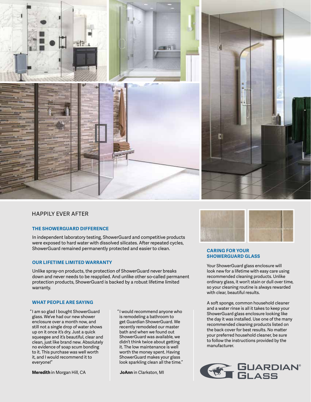



#### Happily ever after

#### **THE SHOWERGUARD DIFFERENCE**

In independent laboratory testing, ShowerGuard and competitive products were exposed to hard water with dissolved silicates. After repeated cycles, ShowerGuard remained permanently protected and easier to clean. **CARING FOR YOUR** 

#### **OUR lifetime limited WARRANTY**

Unlike spray-on products, the protection of ShowerGuard never breaks down and never needs to be reapplied. And unlike other so-called permanent protection products, ShowerGuard is backed by a robust lifetime limited warranty.

#### **WHAT PEOPLE ARE SAYING**

"I am so glad I bought ShowerGuard glass. We've had our new shower enclosure over a month now, and still not a single drop of water shows up on it once it's dry. Just a quick squeegee and it's beautiful, clear and clean, just like brand new. Absolutely no evidence of soap scum bonding to it. This purchase was well worth it, and I would recommend it to everyone!"

**Meredith** in Morgan Hill, CA

"I would recommend anyone who is remodeling a bathroom to get Guardian ShowerGuard. We recently remodeled our master bath and when we found out ShowerGuard was available, we didn't think twice about getting it. The low maintenance is well worth the money spent. Having ShowerGuard makes your glass look sparkling clean all the time."

**JoAnn** in Clarkston, MI



## **SHOWERGUARD GLASS**

Your ShowerGuard glass enclosure will look new for a lifetime with easy care using recommended cleaning products. Unlike ordinary glass, it won't stain or dull over time, so your cleaning routine is always rewarded with clear, beautiful results.

A soft sponge, common household cleaner and a water rinse is all it takes to keep your ShowerGuard glass enclosure looking like the day it was installed. Use one of the many recommended cleaning products listed on the back cover for best results. No matter your preferred household cleaner, be sure to follow the instructions provided by the manufacturer.